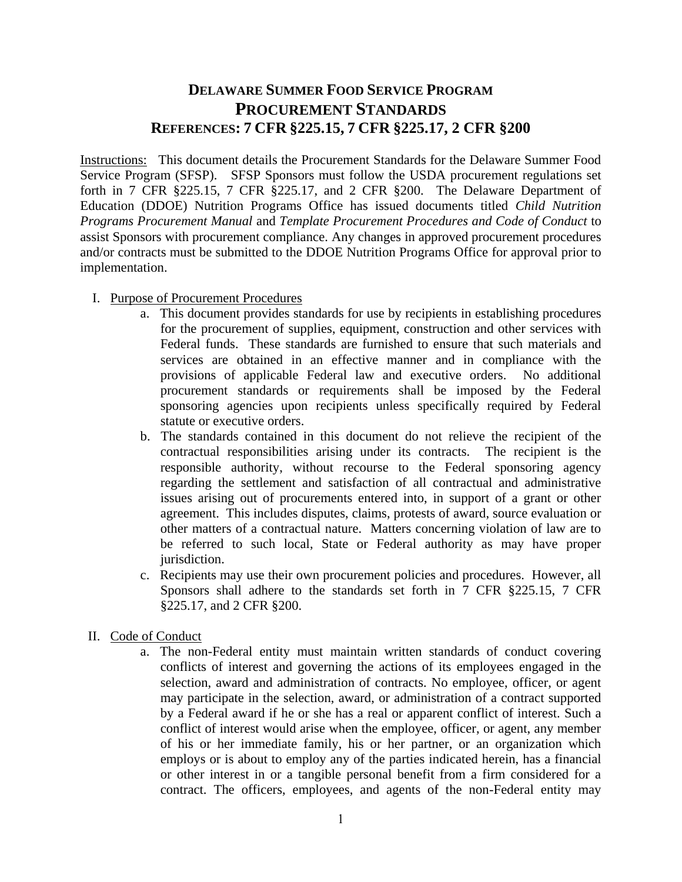## **DELAWARE SUMMER FOOD SERVICE PROGRAM PROCUREMENT STANDARDS REFERENCES: 7 CFR §225.15, 7 CFR §225.17, 2 CFR §200**

Instructions: This document details the Procurement Standards for the Delaware Summer Food Service Program (SFSP). SFSP Sponsors must follow the USDA procurement regulations set forth in 7 CFR §225.15, 7 CFR §225.17, and 2 CFR §200. The Delaware Department of Education (DDOE) Nutrition Programs Office has issued documents titled *Child Nutrition Programs Procurement Manual* and *Template Procurement Procedures and Code of Conduct* to assist Sponsors with procurement compliance. Any changes in approved procurement procedures and/or contracts must be submitted to the DDOE Nutrition Programs Office for approval prior to implementation.

- I. Purpose of Procurement Procedures
	- a. This document provides standards for use by recipients in establishing procedures for the procurement of supplies, equipment, construction and other services with Federal funds. These standards are furnished to ensure that such materials and services are obtained in an effective manner and in compliance with the provisions of applicable Federal law and executive orders. No additional procurement standards or requirements shall be imposed by the Federal sponsoring agencies upon recipients unless specifically required by Federal statute or executive orders.
	- b. The standards contained in this document do not relieve the recipient of the contractual responsibilities arising under its contracts. The recipient is the responsible authority, without recourse to the Federal sponsoring agency regarding the settlement and satisfaction of all contractual and administrative issues arising out of procurements entered into, in support of a grant or other agreement. This includes disputes, claims, protests of award, source evaluation or other matters of a contractual nature. Matters concerning violation of law are to be referred to such local, State or Federal authority as may have proper jurisdiction.
	- c. Recipients may use their own procurement policies and procedures. However, all Sponsors shall adhere to the standards set forth in 7 CFR §225.15, 7 CFR §225.17, and 2 CFR §200.
- II. Code of Conduct
	- a. The non-Federal entity must maintain written standards of conduct covering conflicts of interest and governing the actions of its employees engaged in the selection, award and administration of contracts. No employee, officer, or agent may participate in the selection, award, or administration of a contract supported by a Federal award if he or she has a real or apparent conflict of interest. Such a conflict of interest would arise when the employee, officer, or agent, any member of his or her immediate family, his or her partner, or an organization which employs or is about to employ any of the parties indicated herein, has a financial or other interest in or a tangible personal benefit from a firm considered for a contract. The officers, employees, and agents of the non-Federal entity may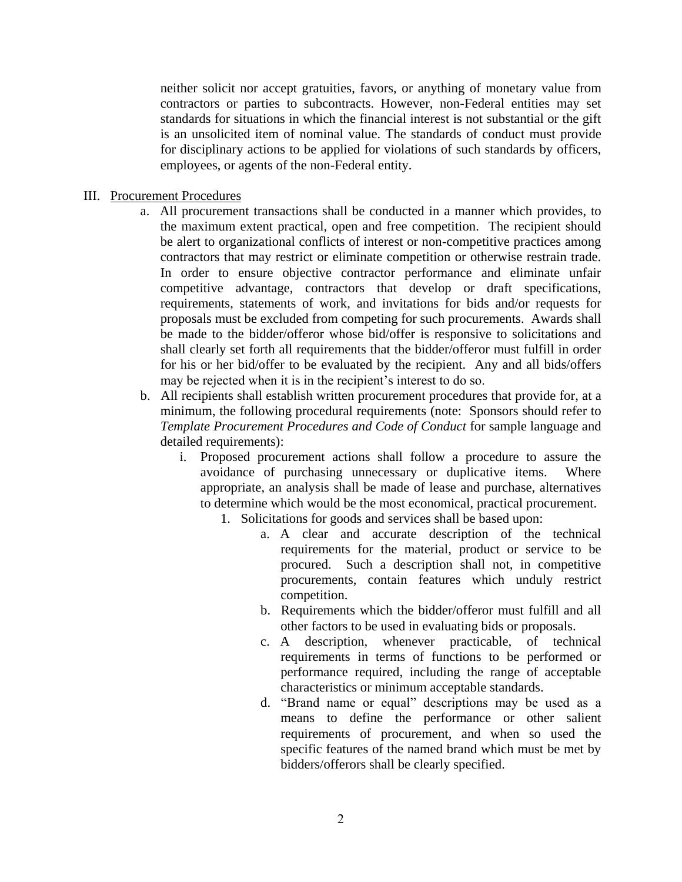neither solicit nor accept gratuities, favors, or anything of monetary value from contractors or parties to subcontracts. However, non-Federal entities may set standards for situations in which the financial interest is not substantial or the gift is an unsolicited item of nominal value. The standards of conduct must provide for disciplinary actions to be applied for violations of such standards by officers, employees, or agents of the non-Federal entity.

- III. Procurement Procedures
	- a. All procurement transactions shall be conducted in a manner which provides, to the maximum extent practical, open and free competition. The recipient should be alert to organizational conflicts of interest or non-competitive practices among contractors that may restrict or eliminate competition or otherwise restrain trade. In order to ensure objective contractor performance and eliminate unfair competitive advantage, contractors that develop or draft specifications, requirements, statements of work, and invitations for bids and/or requests for proposals must be excluded from competing for such procurements. Awards shall be made to the bidder/offeror whose bid/offer is responsive to solicitations and shall clearly set forth all requirements that the bidder/offeror must fulfill in order for his or her bid/offer to be evaluated by the recipient. Any and all bids/offers may be rejected when it is in the recipient's interest to do so.
	- b. All recipients shall establish written procurement procedures that provide for, at a minimum, the following procedural requirements (note: Sponsors should refer to *Template Procurement Procedures and Code of Conduct* for sample language and detailed requirements):
		- i. Proposed procurement actions shall follow a procedure to assure the avoidance of purchasing unnecessary or duplicative items. Where appropriate, an analysis shall be made of lease and purchase, alternatives to determine which would be the most economical, practical procurement.
			- 1. Solicitations for goods and services shall be based upon:
				- a. A clear and accurate description of the technical requirements for the material, product or service to be procured. Such a description shall not, in competitive procurements, contain features which unduly restrict competition.
				- b. Requirements which the bidder/offeror must fulfill and all other factors to be used in evaluating bids or proposals.
				- c. A description, whenever practicable, of technical requirements in terms of functions to be performed or performance required, including the range of acceptable characteristics or minimum acceptable standards.
				- d. "Brand name or equal" descriptions may be used as a means to define the performance or other salient requirements of procurement, and when so used the specific features of the named brand which must be met by bidders/offerors shall be clearly specified.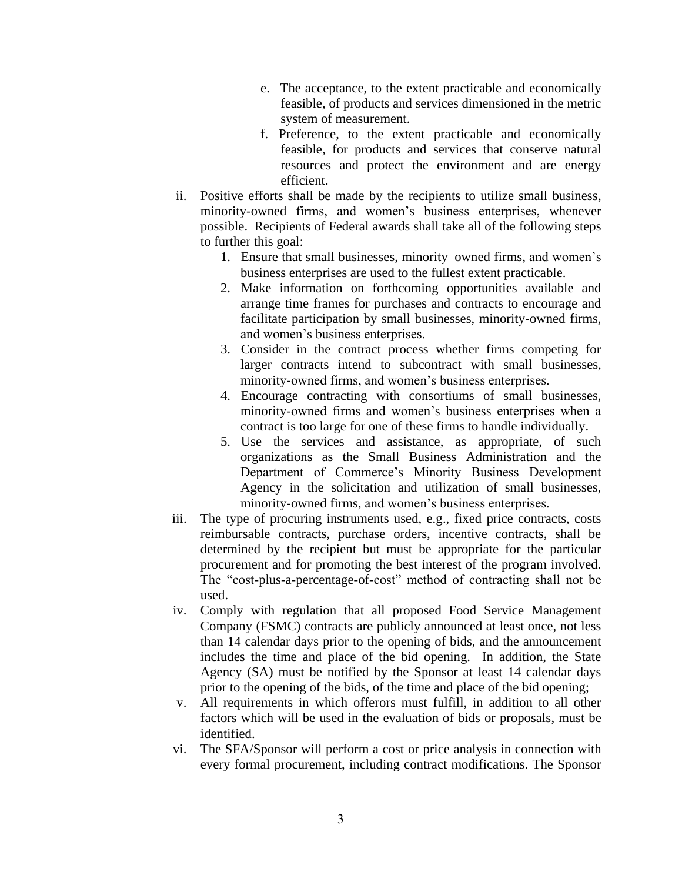- e. The acceptance, to the extent practicable and economically feasible, of products and services dimensioned in the metric system of measurement.
- f. Preference, to the extent practicable and economically feasible, for products and services that conserve natural resources and protect the environment and are energy efficient.
- ii. Positive efforts shall be made by the recipients to utilize small business, minority-owned firms, and women's business enterprises, whenever possible. Recipients of Federal awards shall take all of the following steps to further this goal:
	- 1. Ensure that small businesses, minority–owned firms, and women's business enterprises are used to the fullest extent practicable.
	- 2. Make information on forthcoming opportunities available and arrange time frames for purchases and contracts to encourage and facilitate participation by small businesses, minority-owned firms, and women's business enterprises.
	- 3. Consider in the contract process whether firms competing for larger contracts intend to subcontract with small businesses, minority-owned firms, and women's business enterprises.
	- 4. Encourage contracting with consortiums of small businesses, minority-owned firms and women's business enterprises when a contract is too large for one of these firms to handle individually.
	- 5. Use the services and assistance, as appropriate, of such organizations as the Small Business Administration and the Department of Commerce's Minority Business Development Agency in the solicitation and utilization of small businesses, minority-owned firms, and women's business enterprises.
- iii. The type of procuring instruments used, e.g., fixed price contracts, costs reimbursable contracts, purchase orders, incentive contracts, shall be determined by the recipient but must be appropriate for the particular procurement and for promoting the best interest of the program involved. The "cost-plus-a-percentage-of-cost" method of contracting shall not be used.
- iv. Comply with regulation that all proposed Food Service Management Company (FSMC) contracts are publicly announced at least once, not less than 14 calendar days prior to the opening of bids, and the announcement includes the time and place of the bid opening. In addition, the State Agency (SA) must be notified by the Sponsor at least 14 calendar days prior to the opening of the bids, of the time and place of the bid opening;
- v. All requirements in which offerors must fulfill, in addition to all other factors which will be used in the evaluation of bids or proposals, must be identified.
- vi. The SFA/Sponsor will perform a cost or price analysis in connection with every formal procurement, including contract modifications. The Sponsor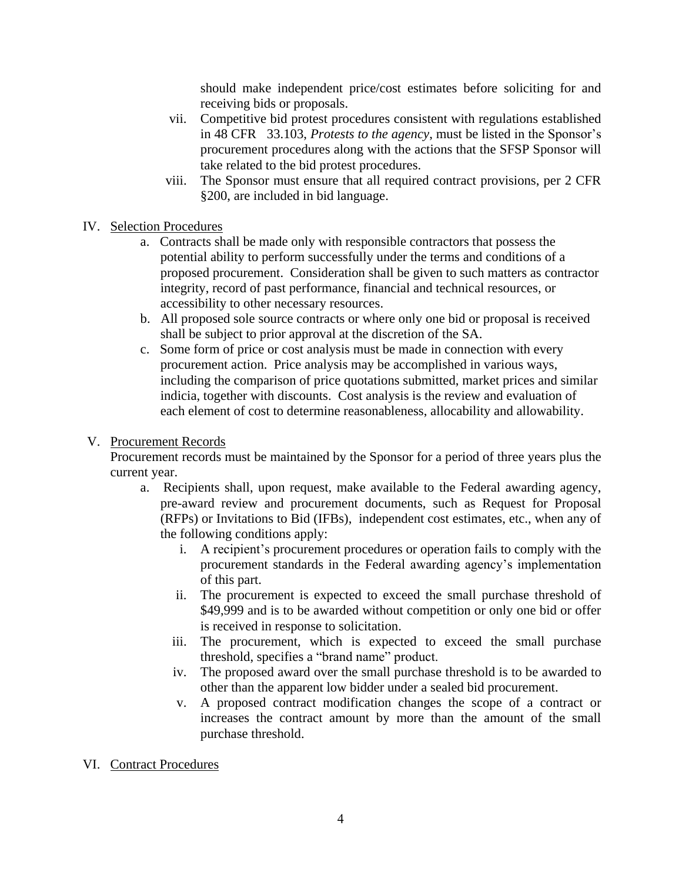should make independent price/cost estimates before soliciting for and receiving bids or proposals.

- vii. Competitive bid protest procedures consistent with regulations established in 48 CFR 33.103, *Protests to the agency*, must be listed in the Sponsor's procurement procedures along with the actions that the SFSP Sponsor will take related to the bid protest procedures.
- viii. The Sponsor must ensure that all required contract provisions, per 2 CFR §200, are included in bid language.
- IV. Selection Procedures
	- a. Contracts shall be made only with responsible contractors that possess the potential ability to perform successfully under the terms and conditions of a proposed procurement. Consideration shall be given to such matters as contractor integrity, record of past performance, financial and technical resources, or accessibility to other necessary resources.
	- b. All proposed sole source contracts or where only one bid or proposal is received shall be subject to prior approval at the discretion of the SA.
	- c. Some form of price or cost analysis must be made in connection with every procurement action. Price analysis may be accomplished in various ways, including the comparison of price quotations submitted, market prices and similar indicia, together with discounts. Cost analysis is the review and evaluation of each element of cost to determine reasonableness, allocability and allowability.

## V. Procurement Records

Procurement records must be maintained by the Sponsor for a period of three years plus the current year.

- a. Recipients shall, upon request, make available to the Federal awarding agency, pre-award review and procurement documents, such as Request for Proposal (RFPs) or Invitations to Bid (IFBs), independent cost estimates, etc., when any of the following conditions apply:
	- i. A recipient's procurement procedures or operation fails to comply with the procurement standards in the Federal awarding agency's implementation of this part.
	- ii. The procurement is expected to exceed the small purchase threshold of \$49,999 and is to be awarded without competition or only one bid or offer is received in response to solicitation.
	- iii. The procurement, which is expected to exceed the small purchase threshold, specifies a "brand name" product.
	- iv. The proposed award over the small purchase threshold is to be awarded to other than the apparent low bidder under a sealed bid procurement.
	- v. A proposed contract modification changes the scope of a contract or increases the contract amount by more than the amount of the small purchase threshold.
- VI. Contract Procedures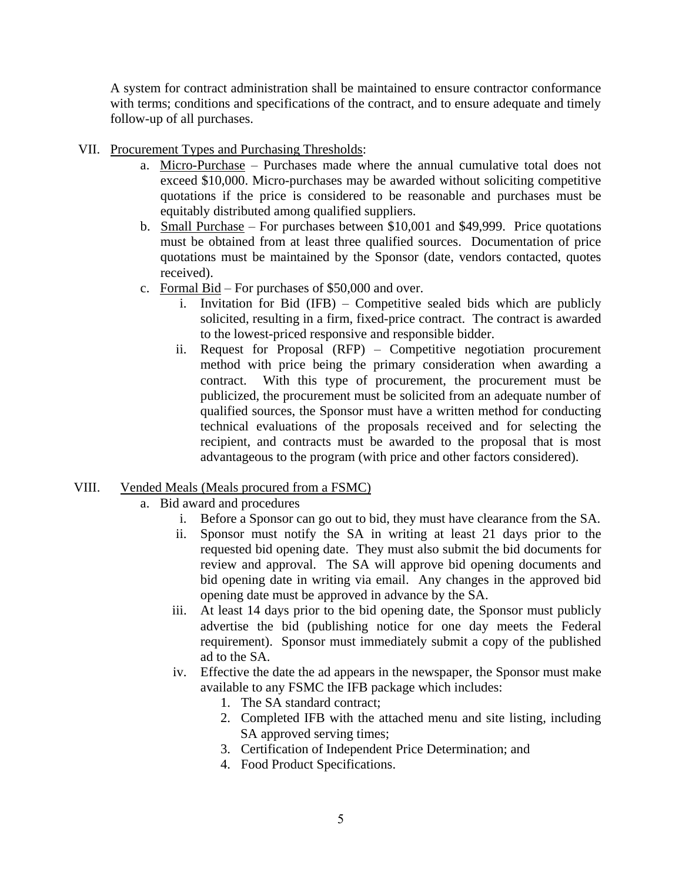A system for contract administration shall be maintained to ensure contractor conformance with terms; conditions and specifications of the contract, and to ensure adequate and timely follow-up of all purchases.

- VII. Procurement Types and Purchasing Thresholds:
	- a. Micro-Purchase Purchases made where the annual cumulative total does not exceed \$10,000. Micro-purchases may be awarded without soliciting competitive quotations if the price is considered to be reasonable and purchases must be equitably distributed among qualified suppliers.
	- b. Small Purchase For purchases between \$10,001 and \$49,999. Price quotations must be obtained from at least three qualified sources. Documentation of price quotations must be maintained by the Sponsor (date, vendors contacted, quotes received).
	- c. Formal Bid For purchases of \$50,000 and over.
		- i. Invitation for Bid (IFB) Competitive sealed bids which are publicly solicited, resulting in a firm, fixed-price contract. The contract is awarded to the lowest-priced responsive and responsible bidder.
		- ii. Request for Proposal (RFP) Competitive negotiation procurement method with price being the primary consideration when awarding a contract. With this type of procurement, the procurement must be publicized, the procurement must be solicited from an adequate number of qualified sources, the Sponsor must have a written method for conducting technical evaluations of the proposals received and for selecting the recipient, and contracts must be awarded to the proposal that is most advantageous to the program (with price and other factors considered).

## VIII. Vended Meals (Meals procured from a FSMC)

- a. Bid award and procedures
	- i. Before a Sponsor can go out to bid, they must have clearance from the SA.
	- ii. Sponsor must notify the SA in writing at least 21 days prior to the requested bid opening date. They must also submit the bid documents for review and approval. The SA will approve bid opening documents and bid opening date in writing via email. Any changes in the approved bid opening date must be approved in advance by the SA.
	- iii. At least 14 days prior to the bid opening date, the Sponsor must publicly advertise the bid (publishing notice for one day meets the Federal requirement). Sponsor must immediately submit a copy of the published ad to the SA.
	- iv. Effective the date the ad appears in the newspaper, the Sponsor must make available to any FSMC the IFB package which includes:
		- 1. The SA standard contract;
		- 2. Completed IFB with the attached menu and site listing, including SA approved serving times;
		- 3. Certification of Independent Price Determination; and
		- 4. Food Product Specifications.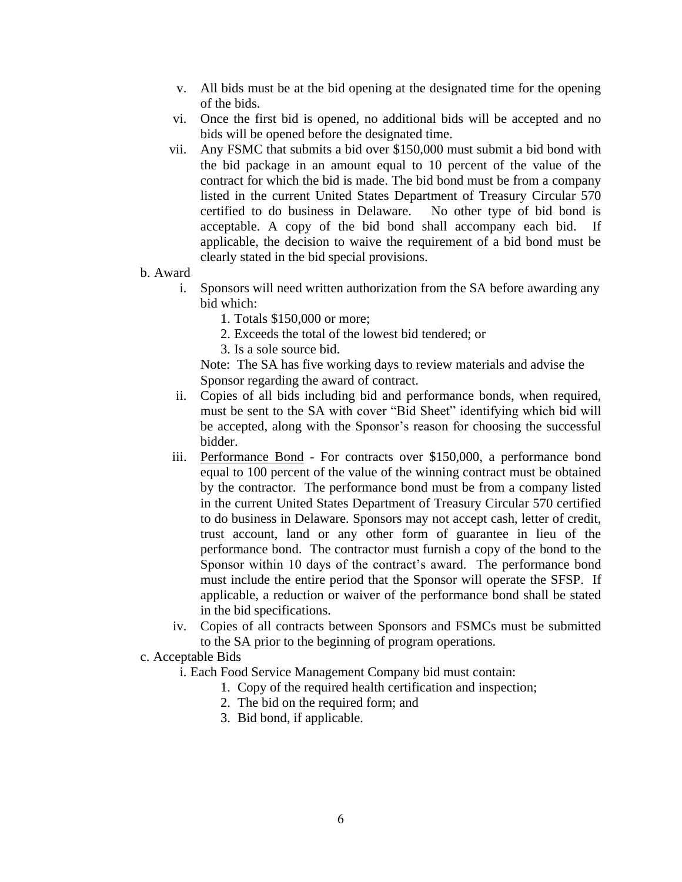- v. All bids must be at the bid opening at the designated time for the opening of the bids.
- vi. Once the first bid is opened, no additional bids will be accepted and no bids will be opened before the designated time.
- vii. Any FSMC that submits a bid over \$150,000 must submit a bid bond with the bid package in an amount equal to 10 percent of the value of the contract for which the bid is made. The bid bond must be from a company listed in the current United States Department of Treasury Circular 570 certified to do business in Delaware. No other type of bid bond is acceptable. A copy of the bid bond shall accompany each bid. applicable, the decision to waive the requirement of a bid bond must be clearly stated in the bid special provisions.
- b. Award
	- i. Sponsors will need written authorization from the SA before awarding any bid which:
		- 1. Totals \$150,000 or more;
		- 2. Exceeds the total of the lowest bid tendered; or
		- 3. Is a sole source bid.

Note: The SA has five working days to review materials and advise the Sponsor regarding the award of contract.

- ii. Copies of all bids including bid and performance bonds, when required, must be sent to the SA with cover "Bid Sheet" identifying which bid will be accepted, along with the Sponsor's reason for choosing the successful bidder.
- iii. Performance Bond For contracts over \$150,000, a performance bond equal to 100 percent of the value of the winning contract must be obtained by the contractor. The performance bond must be from a company listed in the current United States Department of Treasury Circular 570 certified to do business in Delaware. Sponsors may not accept cash, letter of credit, trust account, land or any other form of guarantee in lieu of the performance bond. The contractor must furnish a copy of the bond to the Sponsor within 10 days of the contract's award. The performance bond must include the entire period that the Sponsor will operate the SFSP. If applicable, a reduction or waiver of the performance bond shall be stated in the bid specifications.
- iv. Copies of all contracts between Sponsors and FSMCs must be submitted to the SA prior to the beginning of program operations.

## c. Acceptable Bids

- i. Each Food Service Management Company bid must contain:
	- 1. Copy of the required health certification and inspection;
	- 2. The bid on the required form; and
	- 3. Bid bond, if applicable.